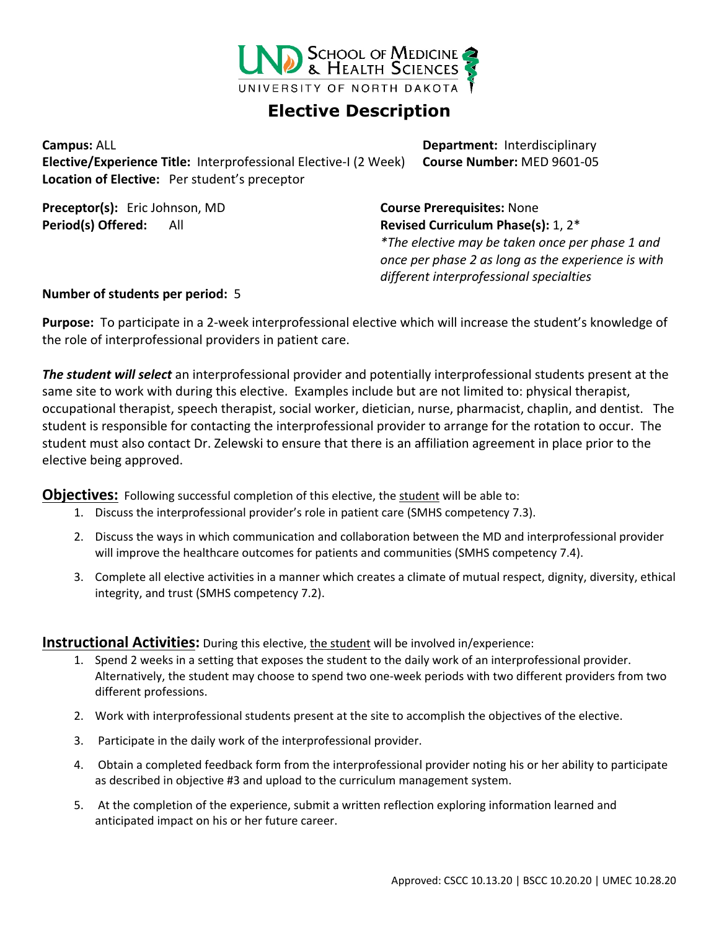

## **Elective Description**

**Elective/Experience Title:** Interprofessional Elective-I (2 Week) **Course Number:** MED 9601-05 **Location of Elective:** Per student's preceptor

**Preceptor(s):** Eric Johnson, MD **Course Prerequisites:** None

**Campus:** ALL **Department:** Interdisciplinary

**Period(s) Offered:** All **Revised Curriculum Phase(s):** 1, 2\* *\*The elective may be taken once per phase 1 and once per phase 2 as long as the experience is with different interprofessional specialties*

## **Number of students per period:** 5

**Purpose:** To participate in a 2-week interprofessional elective which will increase the student's knowledge of the role of interprofessional providers in patient care.

*The student will select* an interprofessional provider and potentially interprofessional students present at the same site to work with during this elective. Examples include but are not limited to: physical therapist, occupational therapist, speech therapist, social worker, dietician, nurse, pharmacist, chaplin, and dentist. The student is responsible for contacting the interprofessional provider to arrange for the rotation to occur. The student must also contact Dr. Zelewski to ensure that there is an affiliation agreement in place prior to the elective being approved.

**Objectives:** Following successful completion of this elective, the student will be able to:

- 1. Discuss the interprofessional provider's role in patient care (SMHS competency 7.3).
- 2. Discuss the ways in which communication and collaboration between the MD and interprofessional provider will improve the healthcare outcomes for patients and communities (SMHS competency 7.4).
- 3. Complete all elective activities in a manner which creates a climate of mutual respect, dignity, diversity, ethical integrity, and trust (SMHS competency 7.2).

**Instructional Activities:** During this elective, the student will be involved in/experience:

- 1. Spend 2 weeks in a setting that exposes the student to the daily work of an interprofessional provider. Alternatively, the student may choose to spend two one-week periods with two different providers from two different professions.
- 2. Work with interprofessional students present at the site to accomplish the objectives of the elective.
- 3. Participate in the daily work of the interprofessional provider.
- 4. Obtain a completed feedback form from the interprofessional provider noting his or her ability to participate as described in objective #3 and upload to the curriculum management system.
- 5. At the completion of the experience, submit a written reflection exploring information learned and anticipated impact on his or her future career.